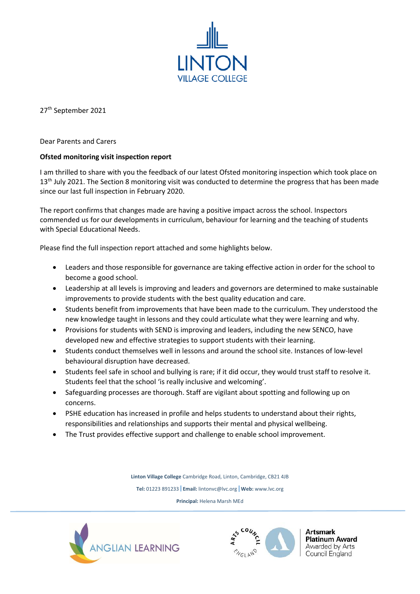

27th September 2021

Dear Parents and Carers

## **Ofsted monitoring visit inspection report**

I am thrilled to share with you the feedback of our latest Ofsted monitoring inspection which took place on 13<sup>th</sup> July 2021. The Section 8 monitoring visit was conducted to determine the progress that has been made since our last full inspection in February 2020.

The report confirms that changes made are having a positive impact across the school. Inspectors commended us for our developments in curriculum, behaviour for learning and the teaching of students with Special Educational Needs.

Please find the full inspection report attached and some highlights below.

- Leaders and those responsible for governance are taking effective action in order for the school to become a good school.
- Leadership at all levels is improving and leaders and governors are determined to make sustainable improvements to provide students with the best quality education and care.
- Students benefit from improvements that have been made to the curriculum. They understood the new knowledge taught in lessons and they could articulate what they were learning and why.
- Provisions for students with SEND is improving and leaders, including the new SENCO, have developed new and effective strategies to support students with their learning.
- Students conduct themselves well in lessons and around the school site. Instances of low-level behavioural disruption have decreased.
- Students feel safe in school and bullying is rare; if it did occur, they would trust staff to resolve it. Students feel that the school 'is really inclusive and welcoming'.
- Safeguarding processes are thorough. Staff are vigilant about spotting and following up on concerns.
- PSHE education has increased in profile and helps students to understand about their rights, responsibilities and relationships and supports their mental and physical wellbeing.
- The Trust provides effective support and challenge to enable school improvement.

**Linton Village College** Cambridge Road, Linton, Cambridge, CB21 4JB

**Tel:** 01223 891233 **Email:** lintonvc@lvc.org **Web:** www.lvc.org

**Principal:** Helena Marsh MEd





Artsmark **Platinum Award** Awarded by Arts Council England